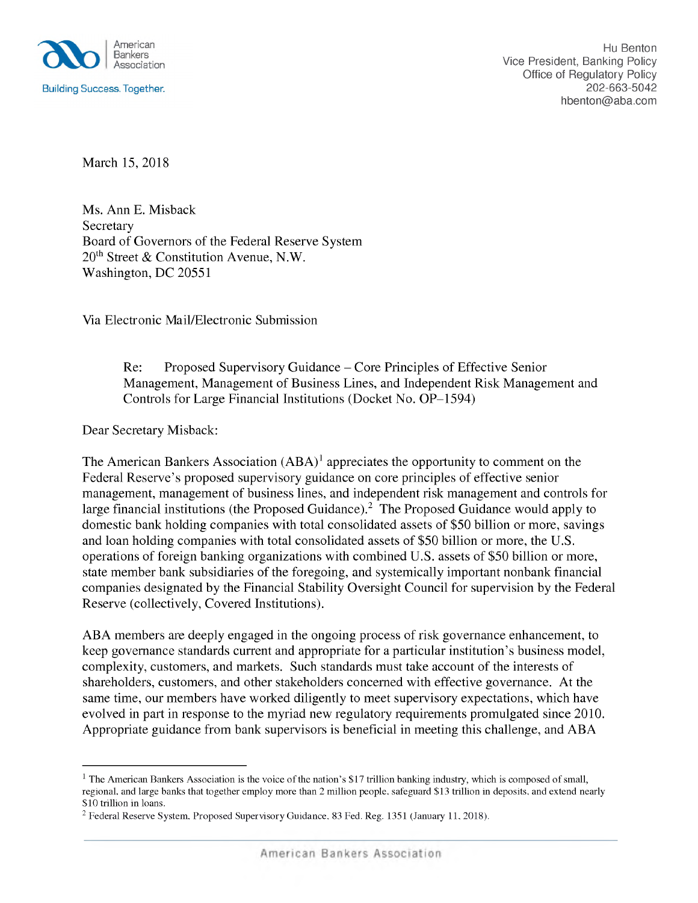

*March* 15, 2018

*Ms. Ann E. Misback Secretary Board of Governors of the Federal Reserve System 20th Street & Constitution Avenue, N.W. Washington, DC 20551* 

*Via Electronic Mail/Electronic Submission*

*Re: Proposed Supervisory Guidance - Core Principles of Effective Senior Management, Management of Business Lines, and Independent Risk Management and Controls for Large Financial Institutions (Docket No. OP-1 94)*

*Dear Secretary Misback:*

*The American Bankers Association (ABA)1 appreciates the opportunity to comment on the Federal Reserve's proposed supervisory guidance on core principles of effective senior management, management of business lines, and independent risk management and controls for large financial institutions (the Proposed Guidance).2 The Proposed Guidance would apply to domestic bank holding companies with total consolidated assets of \$ 0 billion or more, savings and loan holding companies with total consolidated assets of \$ 0 billion or more, the U.S. operations of foreign banking organizations with combined U.S. assets of \$ 0 billion or more, state member bank subsidiaries of the foregoing, and systemically important nonbank financial companies designated by the Financial Stability Oversight Council for supervision by the Federal Reserve (collectively, Covered Institutions).*

*ABA members are deeply engaged in the ongoing process of risk governance enhancement, to keep governance standards current and appropriate for a particular institution's business model, complexity, customers, and markets. Such standards must take account of the interests of shareholders, customers, and other stakeholders concerned with effective governance. At the same time, our members have worked diligently to meet supervisory expectations, which have evolved in part in response to the myriad new regulatory requirements promulgated since 2010. Appropriate guidance from bank supervisors is beneficial in meeting this challenge, and ABA*

<sup>&</sup>lt;sup>1</sup> The American Bankers Association is the voice of the nation's \$17 trillion banking industry, which is composed of small, regional, and large banks that together employ more than 2 million people, safeguard \$13 trillion in deposits, and extend nearly *\$10 trillion in loans.*

*<sup>2</sup> Federal Reserve System, Proposed Supervisory Guidance, 83 Fed. Reg. 13 1 (January 11, 2018).*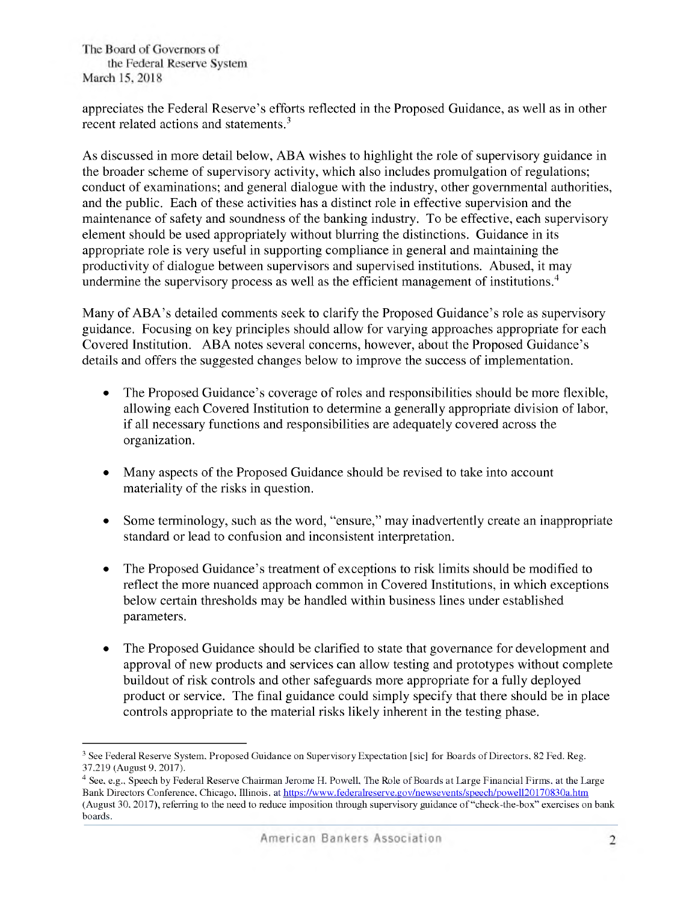*appreciates the Federal Reserve's efforts reflected in the Proposed Guidance, as well as in other recent related actions and statements.3*

*As discussed in more detail below, ABA wishes to highlight the role of supervisory guidance in the broader scheme of supervisory activity, which also includes promulgation of regulations; conduct of examinations; and general dialogue with the industry, other governmental authorities, and the public. Each of these activities has a distinct role in effective supervision and the maintenance of safety and soundness of the banking industry. To be effective, each supervisory element should be used appropriately without blurring the distinctions. Guidance in its appropriate role is very useful in supporting compliance in general and maintaining the productivity of dialogue between supervisors and supervised institutions. Abused, it may undermine the supervisory process as well as the efficient management of institutions.4*

*Many ofABA's detailed comments seek to clarify the Proposed Guidance's role as supervisory guidance. Focusing on key principles should allow for varying approaches appropriate for each Covered Institution. ABA notes several concerns, however, about the Proposed Guidance's details and offers the suggested changes below to improve the success of implementation.*

- *• The Proposed Guidance's coverage ofroles and responsibilities should be more flexible, allowing each Covered Institution to determine a generally appropriate division of labor, if all necessary functions and responsibilities are adequately covered across the organization.*
- *• Many aspects of the Proposed Guidance should be revised to take into account materiality of the risks in question.*
- *• Some terminology, such as the word, "ensure," may inadvertently create an inappropriate standard or lead to confusion and inconsistent interpretation.*
- *• The Proposed Guidance's treatment of exceptions to risk limits should be modified to reflect the more nuanced approach common in Covered Institutions, in which exceptions below certain thresholds may be handled within business lines under established parameters.*
- *• The Proposed Guidance should be clarified to state that governance for development and approval of new products and services can allow testing and prototypes without complete buildout of risk controls and other safeguards more appropriate for a fully deployed product or service. The final guidance could simply specify that there should be in place controls appropriate to the material risks likely inherent in the testing phase.*

<sup>&</sup>lt;sup>3</sup> See Federal Reserve System, Proposed Guidance on Supervisory Expectation [sic] for Boards of Directors, 82 Fed. Reg. *37,219 (August 9, 2017).*

<sup>&</sup>lt;sup>4</sup> See, e.g., Speech by Federal Reserve Chairman Jerome H. Powell, The Role of Boards at Large Financial Firms, at the Large *Bank Directors Conference, Chicago, Illinois, at https://www.federalreserve.gov/newsevents/speech/powell20170830a.htm* (August 30, 2017), referring to the need to reduce imposition through supervisory guidance of "check-the-box" exercises on bank *boards.*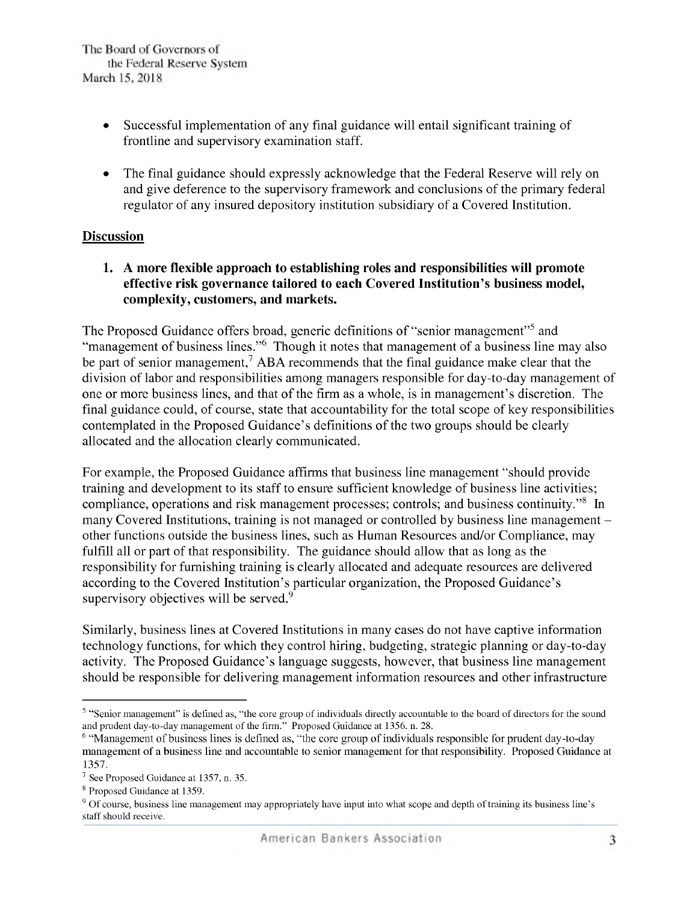- *• Successful implementation of any final guidance will entail significant training of frontline and supervisory examination staff.*
- *• The final guidance should expressly acknowledge that the Federal Reserve will rely on and give deference to the supervisory framework and conclusions of the primary federal regulator of any insured depository institution subsidiary of a Covered Institution.*

# *Discussion*

 *. A more flexible approach to establishing roles and responsibilities will promote effective risk governance tailored to each Covered Institution's business model, complexity, customers, and markets.*

*The Proposed Guidance offers broad, generic definitions of "senior management" and "management ofbusiness lines."6 Though it notes that management of a business line may also be part of senior management,7 ABA recommends that the final guidance make clear that the division of labor and responsibilities among managers responsible for day-to-day management of one or more business lines, and that ofthe firm as a whole, is in management's discretion. The final guidance could, of course, state that accountability for the total scope of key responsibilities contemplated in the Proposed Guidance's definitions ofthe two groups should be clearly allocated and the allocation clearly communicated.*

*For example, the Proposed Guidance affirms that business line management "should provide training and development to its staff to ensure sufficient knowledge of business line activities; compliance, operations and risk management processes; controls; and business continuity."8 In many Covered Institutions, training is not managed or controlled by business line management other functions outside the business lines, such as Human Resources and/or Compliance, may fulfill all or part of that responsibility. The guidance should allow that as long as the responsibility for furnishing training is clearly allocated and adequate resources are delivered according to the Covered Institution's particular organization, the Proposed Guidance's supervisory objectives will be served.9*

*Similarly, business lines at Covered Institutions in many cases do not have captive information technology functions, for which they control hiring, budgeting, strategic planning or day-to-day activity. The Proposed Guidance's language suggests, however, that business line management should be responsible for delivering management information resources and other infrastructure*

<sup>&</sup>lt;sup>5</sup> "Senior management" is defined as, "the core group of individuals directly accountable to the board of directors for the sound *and prudent day-to-day management of the firm." Proposed Guidance at 13 6, n. 28.*

*<sup>6</sup> "Management ofbusiness lines is defined as, "the core group ofindividuals responsible for prudent day-to-day management of a business line and accountable to senior management for that responsibility. Proposed Guidance at 13 7.*

*<sup>7</sup> See Proposed Guidance at 13 7, n. 3 .*

*<sup>8</sup> Proposed Guidance at 13 9.*

<sup>&</sup>lt;sup>9</sup> Of course, business line management may appropriately have input into what scope and depth of training its business line's *staff should receive.*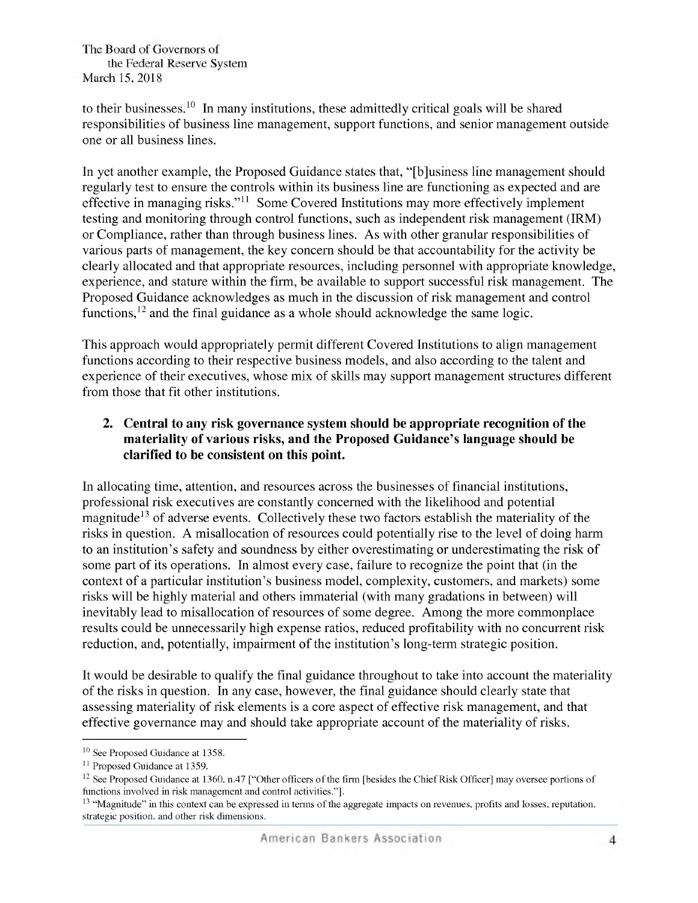*to their businesses.10 In many institutions, these admittedly critical goals will be shared responsibilities of business line management, support functions, and senior management outside one or all business lines.*

*In yet another example, the Proposed Guidance states that, "[b]usiness line management should regularly test to ensure the controls within its business line are functioning as expected and are effective in managing risks."11 Some Covered Institutions may more effectively implement testing and monitoring through control functions, such as independent risk management (IRM) or Compliance, rather than through business lines. As with other granular responsibilities of various parts of management, the key concern should be that accountability for the activity be clearly allocated and that appropriate resources, including personnel with appropriate knowledge, experience, and stature within the firm, be available to support successful risk management. The Proposed Guidance acknowledges as much in the discussion of risk management and control functions,12 and the final guidance as a whole should acknowledge the same logic.*

*This approach would appropriately permit different Covered Institutions to align management functions according to their respective business models, and also according to the talent and experience of their executives, whose mix of skills may support management structures different from those that fit other institutions.*

# *2. Central to any risk governance system should be appropriate recognition of the materiality of various risks, and the Proposed Guidance's language should be clarified to be consistent on this point.*

*In allocating time, attention, and resources across the businesses of financial institutions, professional risk executives are constantly concerned with the likelihood and potential magnitude13 of adverse events. Collectively these two factors establish the materiality of the risks in question. A misallocation of resources could potentially rise to the level of doing harm to an institution's safety and soundness by either overestimating or underestimating the risk of some part of its operations. In almost every case, failure to recognize the point that (in the context of a particular institution's business model, complexity, customers, and markets) some risks will be highly material and others immaterial (with many gradations in between) will inevitably lead to misallocation of resources of some degree. Among the more commonplace results could be unnecessarily high expense ratios, reduced profitability with no concurrent risk reduction,* and, potentially, *impairment* of the *institution's long-term strategic* position.

*It would be desirable to qualify the final guidance throughout to take into account the materiality of the risks in question. In any case, however, the final guidance should clearly state that assessing materiality of risk elements is a core aspect of effective risk management, and that effective governance may and should take appropriate account of the materiality of risks.*

*<sup>10</sup> See Proposed Guidance at 13 8.*

*<sup>11</sup> Proposed Guidance at 13 9.*

<sup>&</sup>lt;sup>12</sup> See Proposed Guidance at 1360, n.47 ["Other officers of the firm [besides the Chief Risk Officer] may oversee portions of *functions involved in risk management and control activities."].*

<sup>&</sup>lt;sup>13</sup> "Magnitude" in this context can be expressed in terms of the aggregate impacts on revenues, profits and losses, reputation, *strategic position, and other risk dimensions.*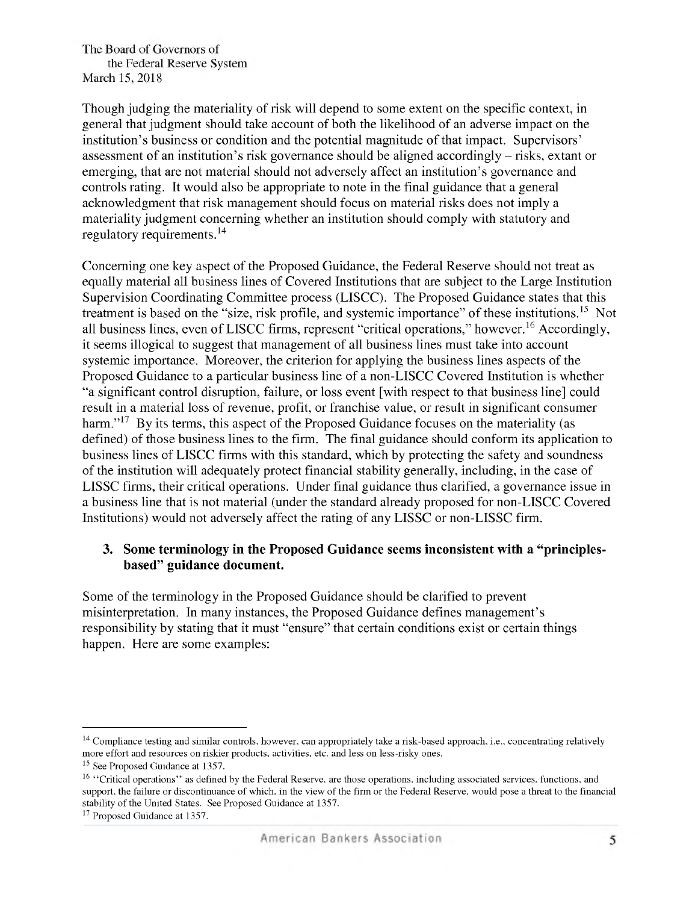*Though judging the materiality of risk will depend to some extent on the specific context, in general that judgment should take account of both the likelihood of an adverse impact on the institution's business or condition and the potential magnitude ofthat impact. Supervisors' assessment of an institution's risk governance should be aligned accordingly -risks, extant or emerging, that are not material should not adversely affect an institution's governance and controls rating. It would also be appropriate to note in the final guidance that a general acknowledgment that risk management should focus on material risks does not imply a materiality judgment concerning whether an institution should comply with statutory and regulatory requirements.14*

*Concerning one key aspect of the Proposed Guidance, the Federal Reserve should not treat as equally material all business lines of Covered Institutions that are subject to the Large Institution Supervision Coordinating Committee process (LISCC). The Proposed Guidance states that this treatment* is based on the "size, risk profile, and systemic importance" of these institutions.<sup>15</sup> Not *all business lines, even ofLISCC firms, represent "critical operations," however.16 Accordingly, it seems illogical to suggest that management of all business lines must take into account systemic importance. Moreover, the criterion for applying the business lines aspects of the Proposed Guidance to a particular business line of a non-LISCC Covered Institution is whether "a significant control disruption, failure, or loss event [with respect to that business line] could result in a material loss of revenue, profit, or franchise value, or result in significant consumer harm."17 By its terms, this aspect of the Proposed Guidance focuses on the materiality (as defined) of those business lines to the firm. The final guidance should conform its application to business lines of LISCC firms with this standard, which by protecting the safety and soundness of the institution will adequately protect financial stability generally, including, in the case of LISSC firms, their critical operations. Under final guidance thus clarified, a governance issue in a business line that is not material (under the standard already proposed for non-LISCC Covered Institutions) would not adversely affect the rating of any LISSC or non-LISSC firm.*

### *3. Some terminology in the Proposed Guidance seems inconsistent with a "principlesbased" guidance document.*

*Some of the terminology in the Proposed Guidance should be clarified to prevent misinterpretation. In many instances, the Proposed Guidance defines management's responsibility by stating that it must "ensure" that certain conditions exist or certain things happen. Here are some examples:*

<sup>&</sup>lt;sup>14</sup> Compliance testing and similar controls, however, can appropriately take a risk-based approach, i.e., concentrating relatively *more effort and resources on riskier products, activities, etc. and less on less-risky ones.*

*<sup>1</sup> See Proposed Guidance at 13 7.*

<sup>&</sup>lt;sup>16</sup> "Critical operations" as defined by the Federal Reserve, are those operations, including associated services, functions, and support, the failure or discontinuance of which, in the view of the firm or the Federal Reserve, would pose a threat to the financial *stability of the United States. See Proposed Guidance at 13 7.*

*<sup>17</sup> Proposed Guidance at 13 7.*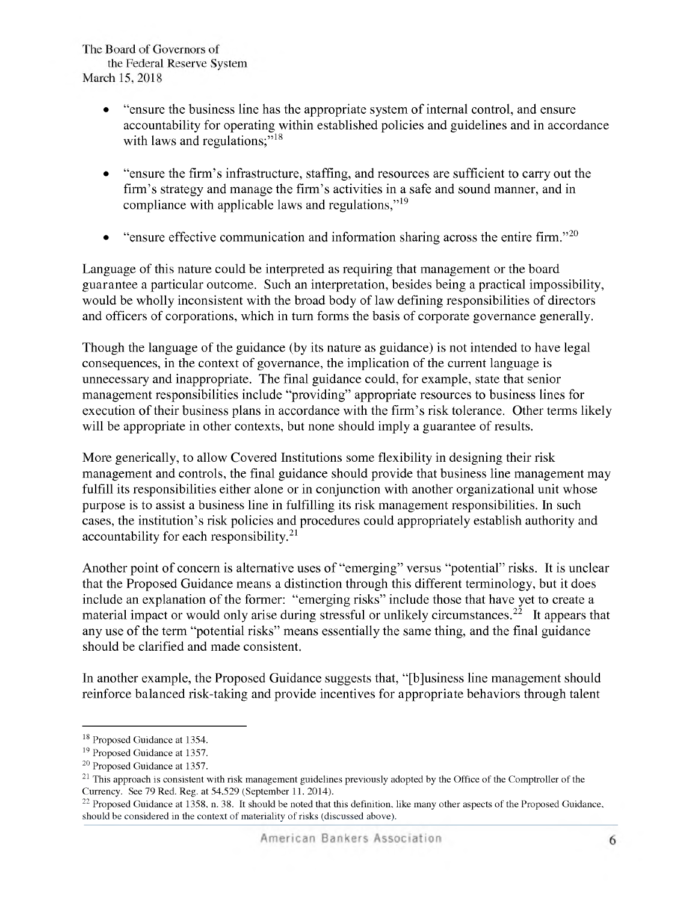- *• "ensure the business line has the appropriate system ofinternal control, and ensure accountability for operating within established policies and guidelines and in accordance with laws and regulations;"18*
- *• "ensure the firm's infrastructure, staffing, and resources are sufficient to carry out the firm's strategy and manage the firm's activities in a safe and sound manner, and in compliance with applicable laws and regulations,"19*
- *• "ensure effective communication and information sharing across the entire firm."20*

*Language of this nature could be interpreted as requiring that management or the board guarantee a particular outcome. Such an interpretation, besides being a practical impossibility, would be wholly inconsistent with the broad body of law defining responsibilities of directors and officers of corporations, which in turn forms the basis of corporate governance generally.*

*Though the language of the guidance (by its nature as guidance) is not intended to have legal consequences, in the context of governance, the implication of the current language is unnecessary and inappropriate. The final guidance could, for example, state that senior management responsibilities include "providing" appropriate resources to business lines for execution oftheir business plans in accordance with the firm's risk tolerance. Other terms likely will be appropriate in other contexts, but none should imply a guarantee of results.*

*More generically, to allow Covered Institutions some flexibility in designing their risk management and controls, the final guidance should provide that business line management may fulfill its responsibilities either alone or in conjunction with another organizational unit whose purpose is to assist a business line in fulfilling its risk management responsibilities. In such cases, the institution's risk policies and procedures could appropriately establish authority and accountability for each responsibility.21*

*Another point of concern is alternative uses of "emerging" versus "potential" risks. It is unclear that the Proposed Guidance means a distinction through this different terminology, but it does include* an explanation of the former: "emerging risks" include those that have yet to create a *material impact or would only arise during stressful or unlikely circumstances.22 It appears that any use ofthe term "potential risks" means essentially the same thing, and the final guidance should be clarified and made consistent.*

*In another example, the Proposed Guidance suggests that, "[b]usiness line management should reinforce balanced risk-taking and provide incentives for appropriate behaviors through talent*

*<sup>18</sup> Proposed Guidance at 13 4.*

*<sup>19</sup> Proposed Guidance at 13 7.*

*<sup>20</sup> Proposed Guidance at 13 7.*

 $21$  This approach is consistent with risk management guidelines previously adopted by the Office of the Comptroller of the *Currency. See 79 Red. Reg. at 4, 29 (September 11, 2014).*

<sup>&</sup>lt;sup>22</sup> Proposed Guidance at 1358, n. 38. It should be noted that this definition, like many other aspects of the Proposed Guidance, *should be considered in the context of materiality ofrisks (discussed above).*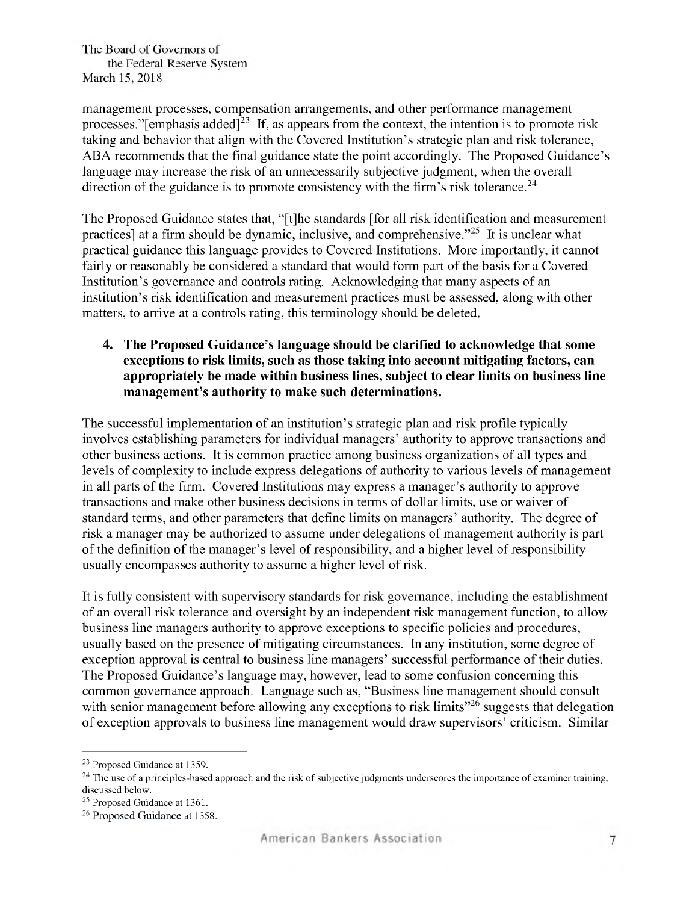*management processes, compensation arrangements, and other performance management processes.''[emphasis added]23 If, as appears from the context, the intention is to promote risk taking and behavior that align with the Covered Institution's strategic plan and risk tolerance, ABA recommends that the final guidance state the point accordingly. The Proposed Guidance's language may increase the risk of an unnecessarily subjective judgment, when the overall direction of the guidance is to promote consistency with the firm's risk tolerance.24*

*The Proposed Guidance states that, "[t]he standards [for all risk identification and measurement practices] at a firm should be dynamic, inclusive, and comprehensive."2 It is unclear what practical guidance this language provides to Covered Institutions. More importantly, it cannot fairly or reasonably be considered a standard that would form part of the basis for a Covered Institution's governance and controls rating. Acknowledging that many aspects of an institution's risk identification and measurement practices must be assessed, along with other matters, to arrive at a controls rating, this terminology should be deleted.*

## *4. The Proposed Guidance's language should be clarified to acknowledge that some exceptions to risk limits, such as those taking into account mitigating factors, can appropriately be made within business lines, subject to clear limits on business line management's authority to make such determinations.*

*The successful implementation of an institution's strategic plan and risk profile typically involves establishing parameters for individual managers' authority to approve transactions and other business actions. It is common practice among business organizations of all types and levels of complexity to include express delegations of authority to various levels of management in all parts ofthe firm. Covered Institutions may express a manager's authority to approve transactions and make other business decisions in terms of dollar limits, use or waiver of standard terms, and other parameters that define limits on managers' authority. The degree of risk a manager may be authorized to assume under delegations of management authority is part ofthe definition ofthe manager's level of responsibility, and a higher level of responsibility usually encompasses authority to assume a higher level of risk.*

*It is fully consistent with supervisory standards for risk governance, including the establishment of an overall risk tolerance and oversight by an independent risk management function, to allow business line managers authority to approve exceptions to specific policies and procedures, usually based on the presence of mitigating circumstances. In any institution, some degree of exception approval is central to business line managers' successful performance oftheir duties. The Proposed Guidance's language may, however, lead to some confusion concerning this common governance approach. Language such as, "Business line management should consult with senior management before allowing any exceptions to risk limits"26 suggests that delegation of exception approvals to business line management would draw supervisors' criticism. Similar*

*<sup>23</sup> Proposed Guidance at 13 9.*

 $24$  The use of a principles-based approach and the risk of subjective judgments underscores the importance of examiner training, *discussed below.*

*<sup>2</sup> Proposed Guidance at 1361.*

*<sup>26</sup> Proposed Guidance at 13 8.*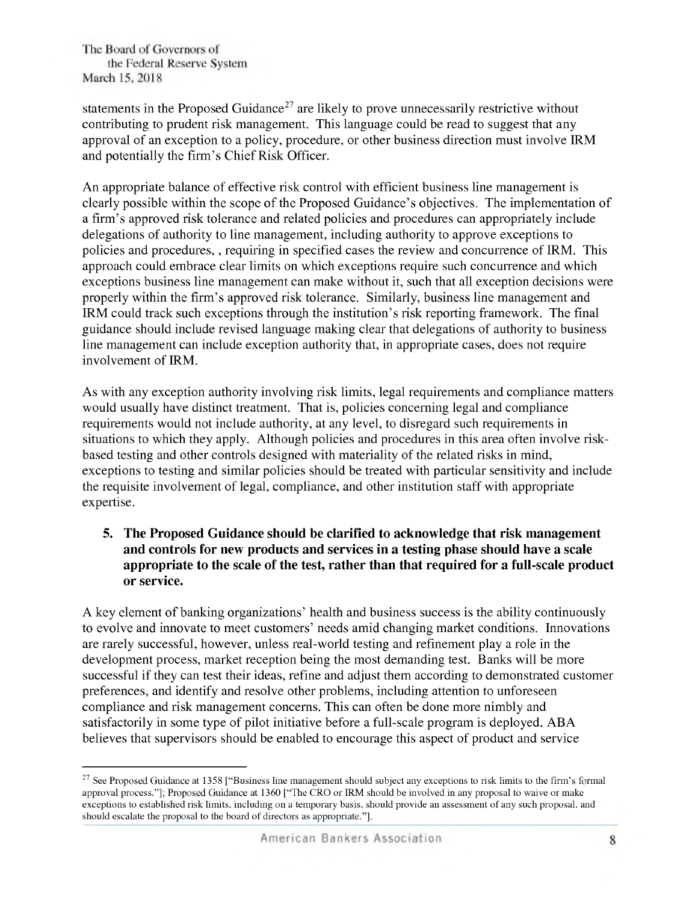*statements in the Proposed Guidance27 are likely to prove unnecessarily restrictive without contributing to prudent risk management. This language could be read to suggest that any approval of an exception to a policy, procedure, or other business direction must involve IRM and potentially the firm's ChiefRisk Officer.*

*An appropriate balance of effective risk control with efficient business line management is clearly* possible within the scope of the Proposed Guidance's objectives. The implementation of *a firm's approved risk tolerance and related policies and procedures can appropriately include delegations of authority to line management, including authority to approve exceptions to policies and procedures,, requiring in specified cases the review and concurrence of IRM. This approach could embrace clear limits on which exceptions require such concurrence and which exceptions business line management can make without it, such that all exception decisions were properly within the firm's approved risk tolerance. Similarly, business line management and IRM could track such exceptions through the institution's risk reporting framework. The final guidance should include revised language making clear that delegations of authority to business line management can include exception authority that, in appropriate cases, does not require involvement of IRM.*

*As with any exception authority involving risk limits, legal requirements and compliance matters would usually have distinct treatment. That is, policies concerning legal and compliance requirements would not include authority, at any level, to disregard such requirements in situations to which they apply. Although policies and procedures in this area often involve riskbased testing and other controls designed with materiality of the related risks in mind, exceptions to testing and similar policies should be treated with particular sensitivity and include the requisite involvement of legal, compliance, and other institution staff with appropriate expertise.*

*5. The Proposed Guidance should be clarified to acknowledge that risk management and controls for new products and services in a testing phase should have a scale appropriate to the scale of the test, rather than that required for a full-scale product or service.*

*A key element of banking organizations' health and business success is the ability continuously to evolve and innovate to meet customers' needs amid changing market conditions. Innovations are rarely successful, however, unless real-world testing and refinement play a role in the development process, market reception being the most demanding test. Banks will be more successful if they can test their ideas, refine and adjust them according to demonstrated customer preferences, and identify and resolve other problems, including attention to unforeseen compliance and risk management concerns. This can often be done more nimbly and satisfactorily in some type of pilot initiative before a full-scale program is deployed. ABA believes that supervisors should be enabled to encourage this aspect of product and service*

<sup>&</sup>lt;sup>27</sup> See Proposed Guidance at 1358 ["Business line management should subject any exceptions to risk limits to the firm's formal approval process."]; Proposed Guidance at 1360 ["The CRO or IRM should be involved in any proposal to waive or make exceptions to established risk limits, including on a temporary basis, should provide an assessment of any such proposal, and *should escalate the proposal to the board of directors as appropriate."].*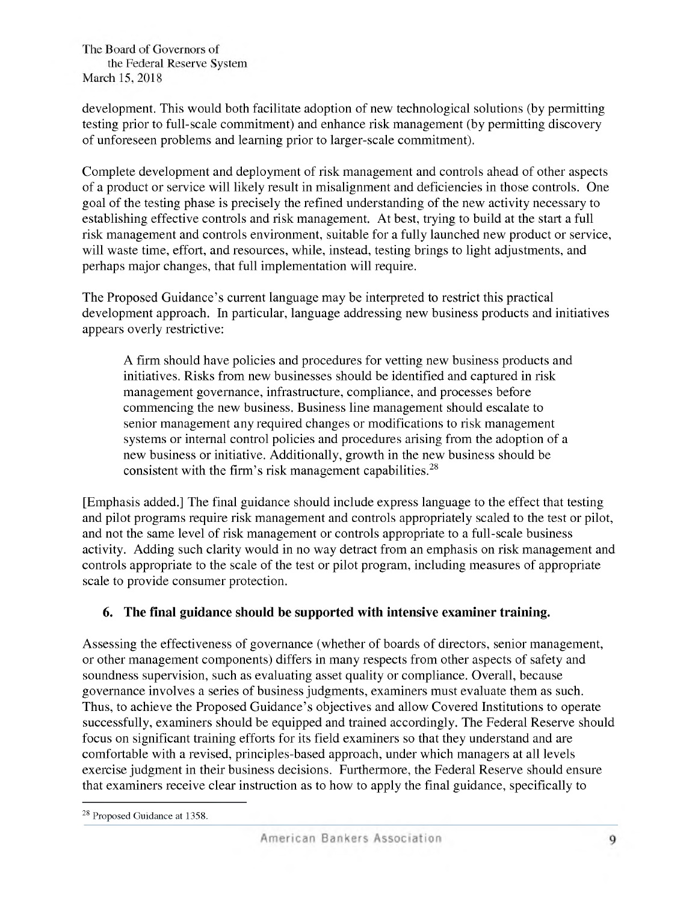*development. This would both facilitate adoption of new technological solutions (by permitting testing prior to full-scale commitment) and enhance risk management (by permitting discovery of unforeseen problems and learning prior to larger-scale commitment).*

*Complete development and deployment of risk management and controls ahead of other aspects of a product or service will likely result in misalignment and deficiencies in those controls. One goal of the testing phase is precisely the refined understanding of the new activity necessary to establishing effective controls and risk management. At best, trying to build at the start a full risk management and controls environment, suitable for a fully launched new product or service, will waste time, effort, and resources, while, instead, testing brings to light adjustments, and perhaps major changes, that full implementation will require.*

*The Proposed Guidance's current language may be interpreted to restrict this practical development approach. In particular, language addressing new business products and initiatives appears overly restrictive:*

*A firm should have policies and procedures for vetting new business products and initiatives. Risks from new businesses should be identified and captured in risk management governance, infrastructure, compliance, and processes before commencing the new business. Business line management should escalate to senior management any required changes or modifications to risk management systems or internal control policies and procedures arising from the adoption of a new business or initiative. Additionally, growth in the new business should be consistent with the firm's risk management capabilities.28*

*[Emphasis added.] The final guidance should include express language to the effect that testing and pilot programs require risk management and controls appropriately scaled to the test or pilot, and not the same level of risk management or controls appropriate to a full-scale business activity. Adding such clarity would in no way detract from an emphasis on risk management and controls appropriate to the scale of the test or pilot program, including measures of appropriate scale to provide consumer protection.*

# *6. The final guidance should be supported with intensive examiner training.*

*Assessing the effectiveness of governance (whether of boards of directors, senior management, or other management components) differs in many respects from other aspects of safety and soundness supervision, such as evaluating asset quality or compliance. Overall, because governance involves a series of business judgments, examiners must evaluate them as such. Thus, to achieve the Proposed Guidance's objectives and allow Covered Institutions to operate successfully, examiners should be equipped and trained accordingly. The Federal Reserve should focus on significant training efforts for its field examiners so that they understand and are comfortable with a revised, principles-based approach, under which managers at all levels exercise judgment in their business decisions. Furthermore, the Federal Reserve should ensure that examiners receive clear instruction as to how to apply the final guidance, specifically to*

*<sup>28</sup> Proposed Guidance at 13 8.*